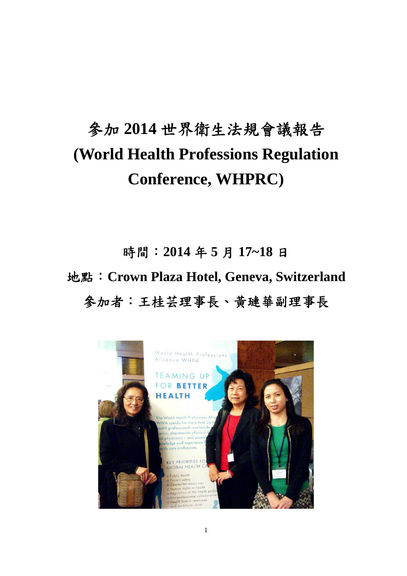# 參加 **2014** 世界衛生法規會議報告 **(World Health Professions Regulation Conference, WHPRC)**

時間:**2014** 年 **5** 月 **17~18** 日 地點:**Crown Plaza Hotel, Geneva, Switzerland**  參加者:王桂芸理事長、黃璉華副理事長

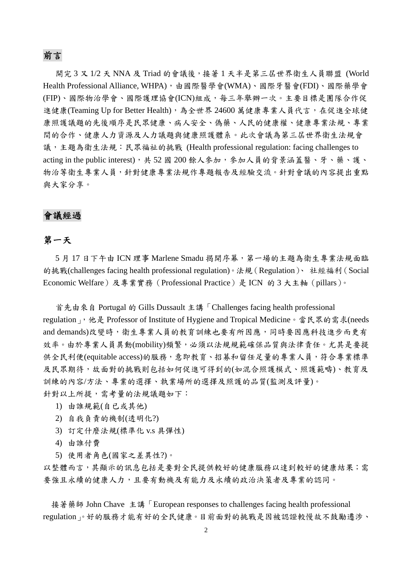### 前言

開完 3 又 1/2 天 NNA 及 Triad 的會議後,接著 1 天半是第三屆世界衛生人員聯盟 (World Health Professional Alliance, WHPA),由國際醫學會(WMA)、國際牙醫會(FDI)、國際藥學會 (FIP)、國際物治學會、國際護理協會(ICN)組成,每三年舉辦一次。主要目標是團隊合作促 進健康(Teaming Up for Better Health),為全世界 24600 萬健康專業人員代言,在促進全球健 康照護議題的先後順序是民眾健康、病人安全、偽藥、人民的健康權、健康專業法規、專業 間的合作、健康人力資源及人力議題與健康照護體系。此次會議為第三屆世界衛生法規會 議,主題為衛生法規:民眾福祉的挑戰 (Health professional regulation: facing challenges to acting in the public interest), 共 52 國 200 餘人參加,參加人員的背景涵蓋醫、牙、藥、護、 物治等衛生專業人員,針對健康專業法規作專題報告及經驗交流。針對會議的內容提出重點 與大家分享。

## 會議經過

## 第一天

5月17日下午由 ICN 理事 Marlene Smadu 揭開序幕,第一場的主題為衛生專業法規面臨 的挑戰(challenges facing health professional regulation)。法規(Regulation)、 社經福利(Social Economic Welfare)及專業實務(Professional Practice)是 ICN 的 3 大主軸(pillars)。

 首先由來自 Portugal 的 Gills Dussault 主講「Challenges facing health professional regulation」,他是 Professor of Institute of Hygiene and Tropical Medicine。當民眾的需求(needs and demands)改變時,衛生專業人員的教育訓練也要有所因應,同時要因應科技進步而更有 效率。由於專業人員異動(mobility)頻繁,必須以法規規範確保品質與法律責任。尤其是要提 供全民利便(equitable access)的服務,意即教育、招募和留任足量的專業人員,符合專業標準 及民眾期待,故面對的挑戰則包括如何促進可得到的(如混合照護模式、照護範疇)、教育及 訓練的內容/方法、專業的選擇、執業場所的選擇及照護的品質(監測及評量)。 針對以上所提,需考量的法規議題如下:

- 1) 由誰規範(自已或其他)
- 2) 自我負責的機制(透明化?)
- 3) 訂定什麼法規(標準化 v.s 具彈性)
- 4) 由誰付費
- 5) 使用者角色(國家之差異性?)。

以整體而言,其顯示的訊息包括是要對全民提供較好的健康服務以達到較好的健康結果;需 要強且永續的健康人力,且要有動機及有能力及永續的政治決策者及專業的認同。

 接著藥師 John Chave 主講「European responses to challenges facing health professional regulation」。好的服務才能有好的全民健康。目前面對的挑戰是因被認證較慢故不鼓勵遷涉、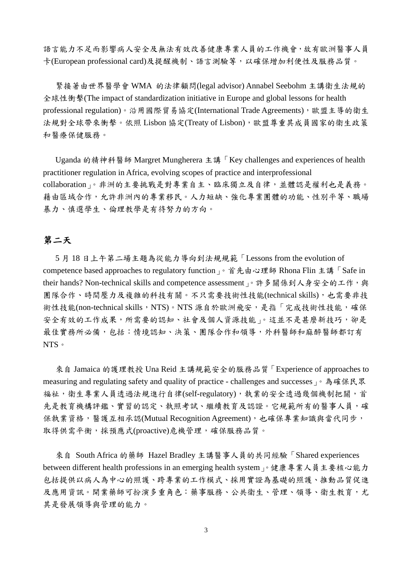語言能力不足而影響病人安全及無法有效改善健康專業人員的工作機會,故有歐洲醫事人員 卡(European professional card)及提醒機制、語言測驗等,以確保增加利便性及服務品質。

 緊接著由世界醫學會 WMA 的法律顧問(legal advisor) Annabel Seebohm 主講衛生法規的 全球性衝擊(The impact of standardization initiative in Europe and global lessons for health professional regulation)。沿用國際貿易協定(International Trade Agreements),歐盟主導的衛生 法規對全球帶來衝擊。依照 Lisbon 協定(Treaty of Lisbon),歐盟尊重其成員國家的衛生政策 和醫療保健服務。

 Uganda 的精神科醫師 Margret Mungherera 主講「Key challenges and experiences of health practitioner regulation in Africa, evolving scopes of practice and interprofessional collaboration」。非洲的主要挑戰是對專業自主、臨床獨立及自律,並體認是權利也是義務。 藉由區域合作,允許非洲內的專業移民。人力短缺、強化專業團體的功能、性別平等、職場 暴力、慎選學生、倫理教學是有待努力的方向。

## 第二天

 5 月 18 日上午第二場主題為從能力導向到法規規範「Lessons from the evolution of competence based approaches to regulatory function」。首先由心理師 Rhona Flin 主講「Safe in their hands? Non-technical skills and competence assessment  $_1$ 。許多關係到人身安全的工作,與 團隊合作、時間壓力及複雜的科技有關。不只需要技術性技能(technical skills),也需要非技 術性技能(non-technical skills,NTS)。NTS 源自於歐洲飛安,是指「完成技術性技能,確保 安全有效的工作成果,所需要的認知、社會及個人資源技能」。這並不是甚麼新技巧,卻是 最佳實務所必備,包括:情境認知、決策、團隊合作和領導,外科醫師和麻醉醫師都訂有 NTS。

 來自 Jamaica 的護理教授 Una Reid 主講規範安全的服務品質「Experience of approaches to measuring and regulating safety and quality of practice - challenges and successes  $\frac{\triangle}{6}$  為確保民眾 福祉,衛生專業人員透過法規進行自律(self-regulatory),執業的安全透過幾個機制把關,首 先是教育機構評鑑、實習的認定、執照考試、繼續教育及認證。它規範所有的醫事人員,確 保執業資格,醫護互相承認(Mutual Recognition Agreement),也確保專業知識與當代同步, 取得供需平衡,採預應式(proactive)危機管理,確保服務品質。

 來自 South Africa 的藥師 Hazel Bradley 主講醫事人員的共同經驗「Shared experiences between different health professions in an emerging health system」。健康專業人員主要核心能力 包括提供以病人為中心的照護、跨專業的工作模式、採用實證為基礎的照護、推動品質促進 及應用資訊。開業藥師可扮演多重角色:藥事服務、公共衛生、管理、領導、衛生教育,尤 其是發展領導與管理的能力。